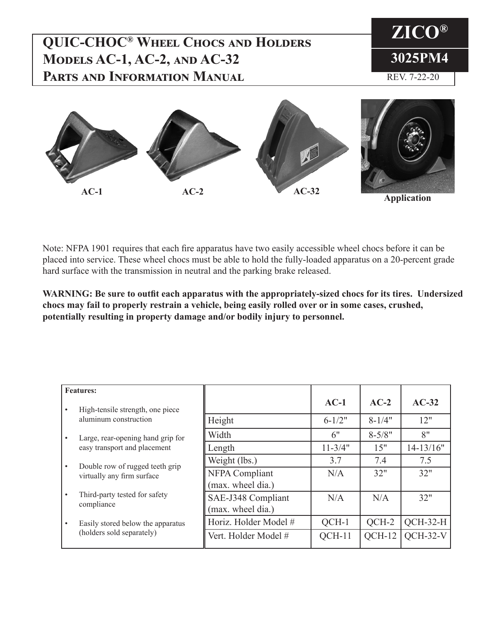# **QUIC-CHOC® Wheel Chocs and Holders Models AC-1, AC-2, and AC-32 Parts and Information Manual**





Note: NFPA 1901 requires that each fire apparatus have two easily accessible wheel chocs before it can be placed into service. These wheel chocs must be able to hold the fully-loaded apparatus on a 20-percent grade hard surface with the transmission in neutral and the parking brake released.

**WARNING: Be sure to outfit each apparatus with the appropriately-sized chocs for its tires. Undersized chocs may fail to properly restrain a vehicle, being easily rolled over or in some cases, crushed, potentially resulting in property damage and/or bodily injury to personnel.**

| <b>Features:</b> |                                                                   |                                            |             |            |            |
|------------------|-------------------------------------------------------------------|--------------------------------------------|-------------|------------|------------|
| $\bullet$        | High-tensile strength, one piece                                  |                                            | $AC-1$      | $AC-2$     | $AC-32$    |
|                  | aluminum construction                                             | Height                                     | $6 - 1/2"$  | $8 - 1/4"$ | 12"        |
| $\bullet$        | Large, rear-opening hand grip for<br>easy transport and placement | Width                                      | 6"          | $8 - 5/8"$ | 8"         |
|                  |                                                                   | Length                                     | $11 - 3/4"$ | 15"        | 14-13/16"  |
| $\bullet$        | Double row of rugged teeth grip<br>virtually any firm surface     | Weight (lbs.)                              | 3.7         | 7.4        | 7.5        |
|                  |                                                                   | <b>NFPA Compliant</b><br>(max. wheel dia.) | N/A         | 32"        | 32"        |
| $\bullet$        | Third-party tested for safety<br>compliance                       | SAE-J348 Compliant<br>(max. wheel dia.)    | N/A         | N/A        | 32"        |
| $\bullet$        | Easily stored below the apparatus<br>(holders sold separately)    | Horiz. Holder Model #                      | QCH-1       | QCH-2      | $OCH-32-H$ |
|                  |                                                                   | Vert. Holder Model #                       | $OCH-11$    | $OCH-12$   | $OCH-32-V$ |